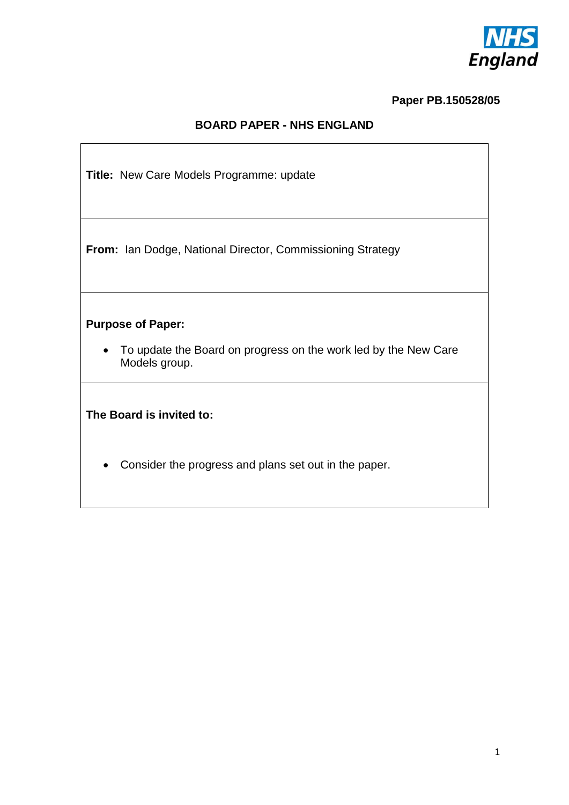

### **Paper PB.150528/05**

### **BOARD PAPER - NHS ENGLAND**

**Title:** New Care Models Programme: update

**From:** Ian Dodge, National Director, Commissioning Strategy

## **Purpose of Paper:**

 To update the Board on progress on the work led by the New Care Models group.

**The Board is invited to:**

Consider the progress and plans set out in the paper.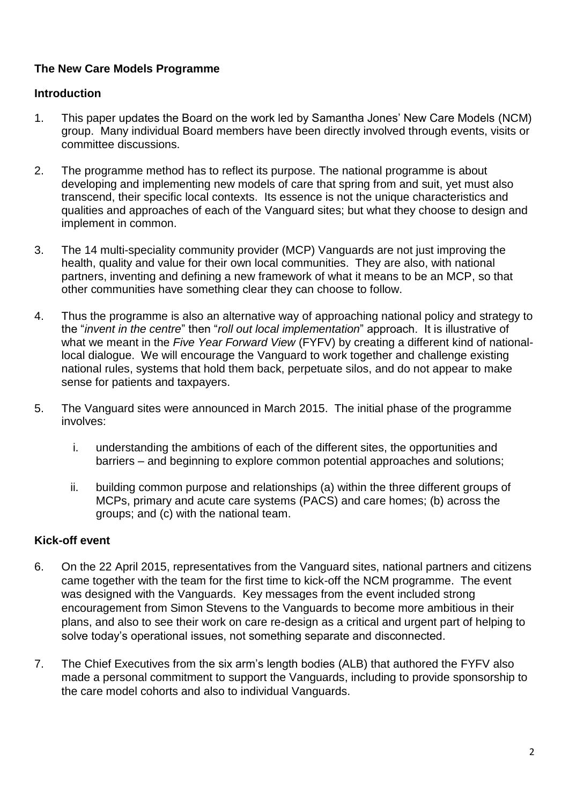## **The New Care Models Programme**

## **Introduction**

- 1. This paper updates the Board on the work led by Samantha Jones' New Care Models (NCM) group. Many individual Board members have been directly involved through events, visits or committee discussions.
- 2. The programme method has to reflect its purpose. The national programme is about developing and implementing new models of care that spring from and suit, yet must also transcend, their specific local contexts. Its essence is not the unique characteristics and qualities and approaches of each of the Vanguard sites; but what they choose to design and implement in common.
- 3. The 14 multi-speciality community provider (MCP) Vanguards are not just improving the health, quality and value for their own local communities. They are also, with national partners, inventing and defining a new framework of what it means to be an MCP, so that other communities have something clear they can choose to follow.
- 4. Thus the programme is also an alternative way of approaching national policy and strategy to the "*invent in the centre*" then "*roll out local implementation*" approach. It is illustrative of what we meant in the *Five Year Forward View* (FYFV) by creating a different kind of nationallocal dialogue. We will encourage the Vanguard to work together and challenge existing national rules, systems that hold them back, perpetuate silos, and do not appear to make sense for patients and taxpayers.
- 5. The Vanguard sites were announced in March 2015. The initial phase of the programme involves:
	- i. understanding the ambitions of each of the different sites, the opportunities and barriers – and beginning to explore common potential approaches and solutions;
	- ii. building common purpose and relationships (a) within the three different groups of MCPs, primary and acute care systems (PACS) and care homes; (b) across the groups; and (c) with the national team.

# **Kick-off event**

- 6. On the 22 April 2015, representatives from the Vanguard sites, national partners and citizens came together with the team for the first time to kick-off the NCM programme. The event was designed with the Vanguards. Key messages from the event included strong encouragement from Simon Stevens to the Vanguards to become more ambitious in their plans, and also to see their work on care re-design as a critical and urgent part of helping to solve today's operational issues, not something separate and disconnected.
- 7. The Chief Executives from the six arm's length bodies (ALB) that authored the FYFV also made a personal commitment to support the Vanguards, including to provide sponsorship to the care model cohorts and also to individual Vanguards.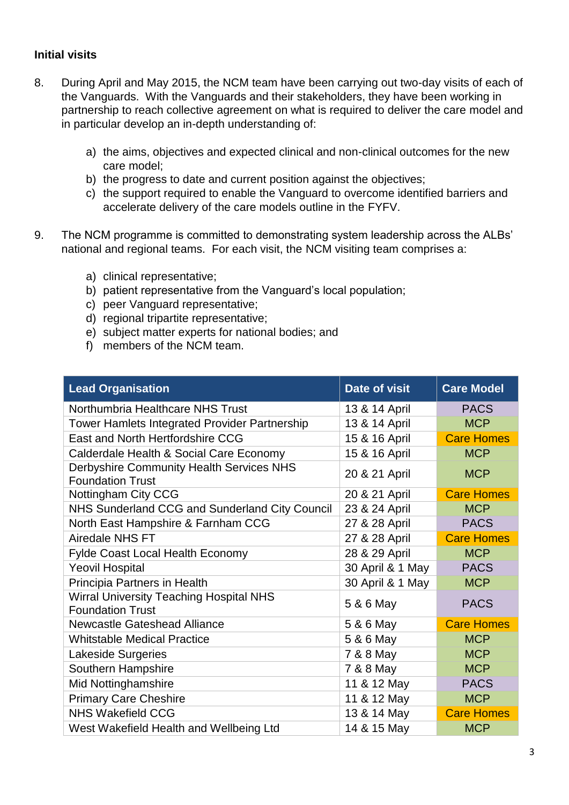#### **Initial visits**

- 8. During April and May 2015, the NCM team have been carrying out two-day visits of each of the Vanguards. With the Vanguards and their stakeholders, they have been working in partnership to reach collective agreement on what is required to deliver the care model and in particular develop an in-depth understanding of:
	- a) the aims, objectives and expected clinical and non-clinical outcomes for the new care model;
	- b) the progress to date and current position against the objectives;
	- c) the support required to enable the Vanguard to overcome identified barriers and accelerate delivery of the care models outline in the FYFV.
- 9. The NCM programme is committed to demonstrating system leadership across the ALBs' national and regional teams. For each visit, the NCM visiting team comprises a:
	- a) clinical representative;
	- b) patient representative from the Vanguard's local population;
	- c) peer Vanguard representative;
	- d) regional tripartite representative;
	- e) subject matter experts for national bodies; and
	- f) members of the NCM team.

| <b>Lead Organisation</b>                                            | Date of visit    | <b>Care Model</b> |
|---------------------------------------------------------------------|------------------|-------------------|
| Northumbria Healthcare NHS Trust                                    | 13 & 14 April    | <b>PACS</b>       |
| <b>Tower Hamlets Integrated Provider Partnership</b>                | 13 & 14 April    | <b>MCP</b>        |
| East and North Hertfordshire CCG                                    | 15 & 16 April    | <b>Care Homes</b> |
| Calderdale Health & Social Care Economy                             | 15 & 16 April    | <b>MCP</b>        |
| Derbyshire Community Health Services NHS<br><b>Foundation Trust</b> | 20 & 21 April    | <b>MCP</b>        |
| Nottingham City CCG                                                 | 20 & 21 April    | <b>Care Homes</b> |
| NHS Sunderland CCG and Sunderland City Council                      | 23 & 24 April    | <b>MCP</b>        |
| North East Hampshire & Farnham CCG                                  | 27 & 28 April    | <b>PACS</b>       |
| Airedale NHS FT                                                     | 27 & 28 April    | <b>Care Homes</b> |
| <b>Fylde Coast Local Health Economy</b>                             | 28 & 29 April    | <b>MCP</b>        |
| <b>Yeovil Hospital</b>                                              | 30 April & 1 May | <b>PACS</b>       |
| Principia Partners in Health                                        | 30 April & 1 May | <b>MCP</b>        |
| Wirral University Teaching Hospital NHS<br><b>Foundation Trust</b>  | 5 & 6 May        | <b>PACS</b>       |
| Newcastle Gateshead Alliance                                        | 5 & 6 May        | <b>Care Homes</b> |
| <b>Whitstable Medical Practice</b>                                  | 5 & 6 May        | <b>MCP</b>        |
| <b>Lakeside Surgeries</b>                                           | 7 & 8 May        | <b>MCP</b>        |
| Southern Hampshire                                                  | 7 & 8 May        | <b>MCP</b>        |
| Mid Nottinghamshire                                                 | 11 & 12 May      | <b>PACS</b>       |
| <b>Primary Care Cheshire</b>                                        | 11 & 12 May      | <b>MCP</b>        |
| <b>NHS Wakefield CCG</b>                                            | 13 & 14 May      | <b>Care Homes</b> |
| West Wakefield Health and Wellbeing Ltd                             | 14 & 15 May      | <b>MCP</b>        |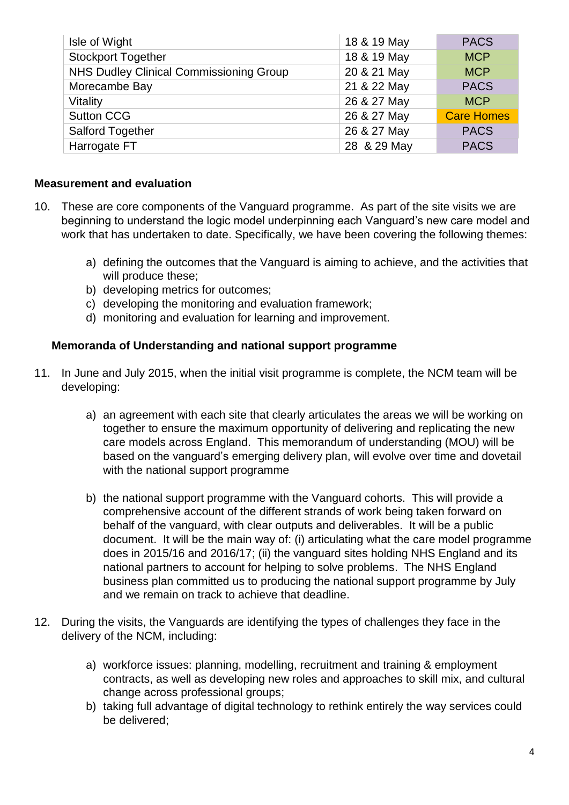| Isle of Wight                           | 18 & 19 May | <b>PACS</b>       |
|-----------------------------------------|-------------|-------------------|
| <b>Stockport Together</b>               | 18 & 19 May | <b>MCP</b>        |
| NHS Dudley Clinical Commissioning Group | 20 & 21 May | <b>MCP</b>        |
| Morecambe Bay                           | 21 & 22 May | <b>PACS</b>       |
| Vitality                                | 26 & 27 May | <b>MCP</b>        |
| <b>Sutton CCG</b>                       | 26 & 27 May | <b>Care Homes</b> |
| <b>Salford Together</b>                 | 26 & 27 May | <b>PACS</b>       |
| Harrogate FT                            | 28 & 29 May | <b>PACS</b>       |

#### **Measurement and evaluation**

- 10. These are core components of the Vanguard programme. As part of the site visits we are beginning to understand the logic model underpinning each Vanguard's new care model and work that has undertaken to date. Specifically, we have been covering the following themes:
	- a) defining the outcomes that the Vanguard is aiming to achieve, and the activities that will produce these;
	- b) developing metrics for outcomes;
	- c) developing the monitoring and evaluation framework;
	- d) monitoring and evaluation for learning and improvement.

#### **Memoranda of Understanding and national support programme**

- 11. In June and July 2015, when the initial visit programme is complete, the NCM team will be developing:
	- a) an agreement with each site that clearly articulates the areas we will be working on together to ensure the maximum opportunity of delivering and replicating the new care models across England. This memorandum of understanding (MOU) will be based on the vanguard's emerging delivery plan, will evolve over time and dovetail with the national support programme
	- b) the national support programme with the Vanguard cohorts. This will provide a comprehensive account of the different strands of work being taken forward on behalf of the vanguard, with clear outputs and deliverables. It will be a public document. It will be the main way of: (i) articulating what the care model programme does in 2015/16 and 2016/17; (ii) the vanguard sites holding NHS England and its national partners to account for helping to solve problems. The NHS England business plan committed us to producing the national support programme by July and we remain on track to achieve that deadline.
- 12. During the visits, the Vanguards are identifying the types of challenges they face in the delivery of the NCM, including:
	- a) workforce issues: planning, modelling, recruitment and training & employment contracts, as well as developing new roles and approaches to skill mix, and cultural change across professional groups;
	- b) taking full advantage of digital technology to rethink entirely the way services could be delivered;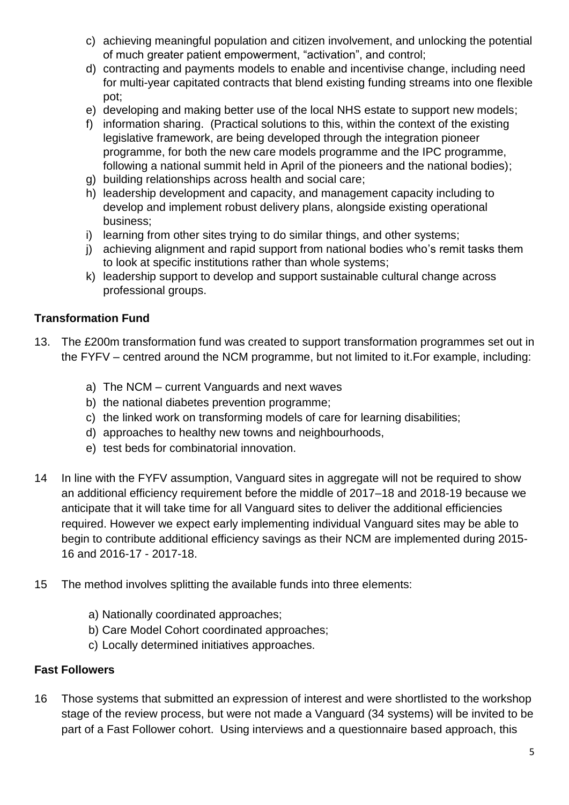- c) achieving meaningful population and citizen involvement, and unlocking the potential of much greater patient empowerment, "activation", and control;
- d) contracting and payments models to enable and incentivise change, including need for multi-year capitated contracts that blend existing funding streams into one flexible pot;
- e) developing and making better use of the local NHS estate to support new models;
- f) information sharing. (Practical solutions to this, within the context of the existing legislative framework, are being developed through the integration pioneer programme, for both the new care models programme and the IPC programme, following a national summit held in April of the pioneers and the national bodies);
- g) building relationships across health and social care;
- h) leadership development and capacity, and management capacity including to develop and implement robust delivery plans, alongside existing operational business;
- i) learning from other sites trying to do similar things, and other systems;
- j) achieving alignment and rapid support from national bodies who's remit tasks them to look at specific institutions rather than whole systems;
- k) leadership support to develop and support sustainable cultural change across professional groups.

## **Transformation Fund**

- 13. The £200m transformation fund was created to support transformation programmes set out in the FYFV – centred around the NCM programme, but not limited to it.For example, including:
	- a) The NCM current Vanguards and next waves
	- b) the national diabetes prevention programme;
	- c) the linked work on transforming models of care for learning disabilities;
	- d) approaches to healthy new towns and neighbourhoods,
	- e) test beds for combinatorial innovation.
- 14 In line with the FYFV assumption, Vanguard sites in aggregate will not be required to show an additional efficiency requirement before the middle of 2017–18 and 2018-19 because we anticipate that it will take time for all Vanguard sites to deliver the additional efficiencies required. However we expect early implementing individual Vanguard sites may be able to begin to contribute additional efficiency savings as their NCM are implemented during 2015- 16 and 2016-17 - 2017-18.
- 15 The method involves splitting the available funds into three elements:
	- a) Nationally coordinated approaches;
	- b) Care Model Cohort coordinated approaches;
	- c) Locally determined initiatives approaches.

#### **Fast Followers**

16 Those systems that submitted an expression of interest and were shortlisted to the workshop stage of the review process, but were not made a Vanguard (34 systems) will be invited to be part of a Fast Follower cohort. Using interviews and a questionnaire based approach, this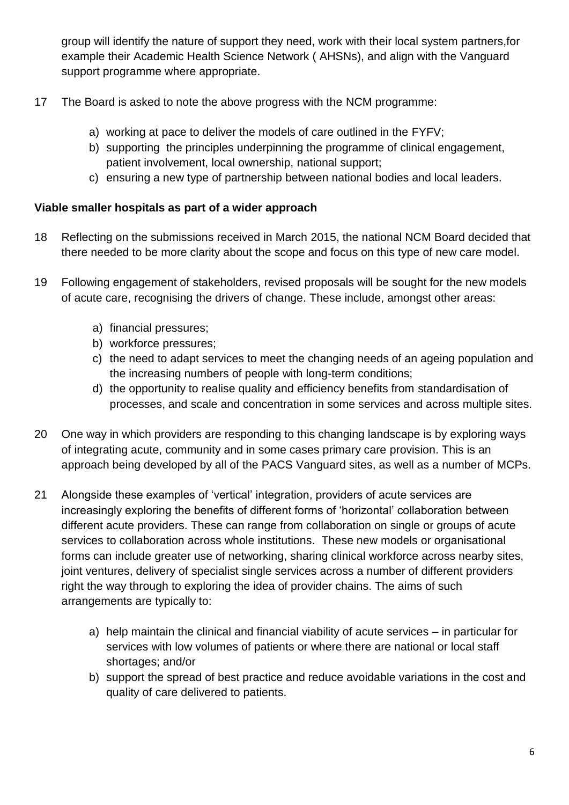group will identify the nature of support they need, work with their local system partners,for example their Academic Health Science Network ( AHSNs), and align with the Vanguard support programme where appropriate.

- 17 The Board is asked to note the above progress with the NCM programme:
	- a) working at pace to deliver the models of care outlined in the FYFV;
	- b) supporting the principles underpinning the programme of clinical engagement, patient involvement, local ownership, national support;
	- c) ensuring a new type of partnership between national bodies and local leaders.

### **Viable smaller hospitals as part of a wider approach**

- 18 Reflecting on the submissions received in March 2015, the national NCM Board decided that there needed to be more clarity about the scope and focus on this type of new care model.
- 19 Following engagement of stakeholders, revised proposals will be sought for the new models of acute care, recognising the drivers of change. These include, amongst other areas:
	- a) financial pressures;
	- b) workforce pressures;
	- c) the need to adapt services to meet the changing needs of an ageing population and the increasing numbers of people with long-term conditions;
	- d) the opportunity to realise quality and efficiency benefits from standardisation of processes, and scale and concentration in some services and across multiple sites.
- 20 One way in which providers are responding to this changing landscape is by exploring ways of integrating acute, community and in some cases primary care provision. This is an approach being developed by all of the PACS Vanguard sites, as well as a number of MCPs.
- 21 Alongside these examples of 'vertical' integration, providers of acute services are increasingly exploring the benefits of different forms of 'horizontal' collaboration between different acute providers. These can range from collaboration on single or groups of acute services to collaboration across whole institutions. These new models or organisational forms can include greater use of networking, sharing clinical workforce across nearby sites, joint ventures, delivery of specialist single services across a number of different providers right the way through to exploring the idea of provider chains. The aims of such arrangements are typically to:
	- a) help maintain the clinical and financial viability of acute services in particular for services with low volumes of patients or where there are national or local staff shortages; and/or
	- b) support the spread of best practice and reduce avoidable variations in the cost and quality of care delivered to patients.